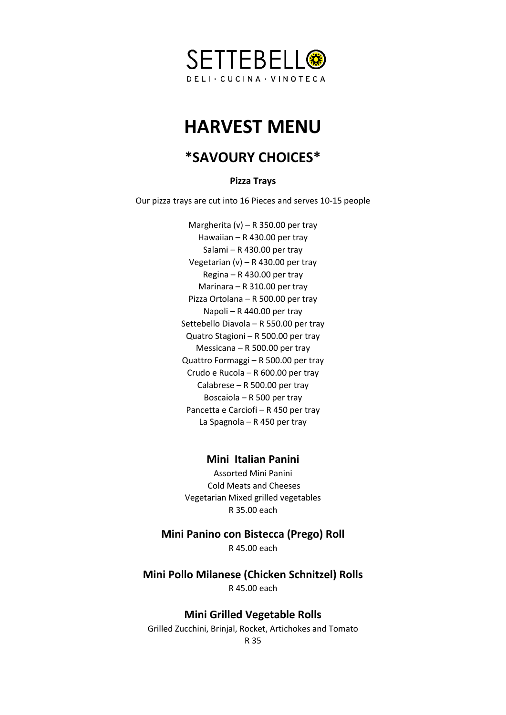

# **HARVEST MENU**

# **\*SAVOURY CHOICES\***

**Pizza Trays**

Our pizza trays are cut into 16 Pieces and serves 10-15 people

Margherita (v) – R 350.00 per tray Hawaiian – R 430.00 per tray Salami – R 430.00 per tray Vegetarian (v) – R 430.00 per tray Regina – R 430.00 per tray Marinara – R 310.00 per tray Pizza Ortolana – R 500.00 per tray Napoli – R 440.00 per tray Settebello Diavola – R 550.00 per tray Quatro Stagioni – R 500.00 per tray Messicana – R 500.00 per tray Quattro Formaggi – R 500.00 per tray Crudo e Rucola – R 600.00 per tray Calabrese – R 500.00 per tray Boscaiola – R 500 per tray Pancetta e Carciofi – R 450 per tray La Spagnola – R 450 per tray

### **Mini Italian Panini**

Assorted Mini Panini Cold Meats and Cheeses Vegetarian Mixed grilled vegetables R 35.00 each

### **Mini Panino con Bistecca (Prego) Roll**

R 45.00 each

**Mini Pollo Milanese (Chicken Schnitzel) Rolls**

R 45.00 each

# **Mini Grilled Vegetable Rolls**

Grilled Zucchini, Brinjal, Rocket, Artichokes and Tomato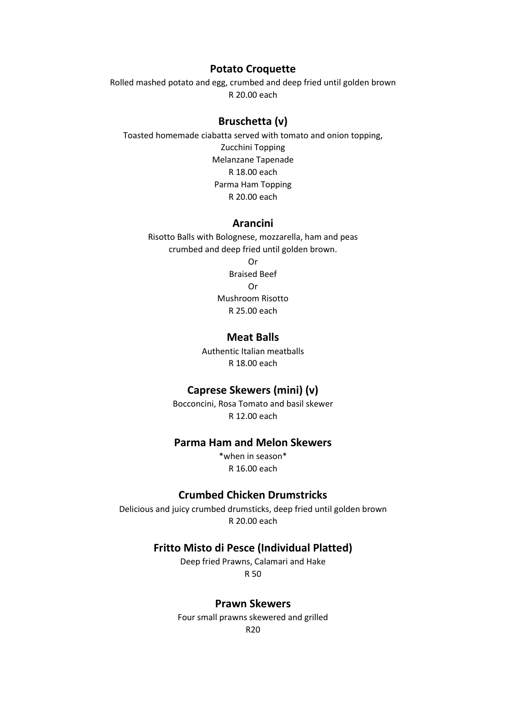#### **Potato Croquette**

Rolled mashed potato and egg, crumbed and deep fried until golden brown R 20.00 each

#### **Bruschetta (v)**

Toasted homemade ciabatta served with tomato and onion topping, Zucchini Topping Melanzane Tapenade R 18.00 each Parma Ham Topping R 20.00 each

#### **Arancini**

Risotto Balls with Bolognese, mozzarella, ham and peas crumbed and deep fried until golden brown.

Or Braised Beef Or Mushroom Risotto R 25.00 each

#### **Meat Balls**

Authentic Italian meatballs R 18.00 each

# **Caprese Skewers (mini) (v)**

Bocconcini, Rosa Tomato and basil skewer R 12.00 each

# **Parma Ham and Melon Skewers**

\*when in season\* R 16.00 each

#### **Crumbed Chicken Drumstricks**

Delicious and juicy crumbed drumsticks, deep fried until golden brown R 20.00 each

#### **Fritto Misto di Pesce (Individual Platted)**

Deep fried Prawns, Calamari and Hake R 50

#### **Prawn Skewers**

Four small prawns skewered and grilled R20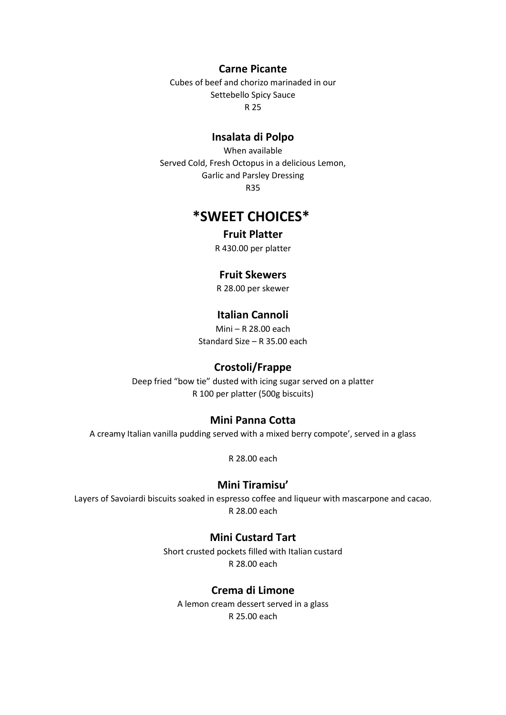**Carne Picante**

Cubes of beef and chorizo marinaded in our Settebello Spicy Sauce R 25

#### **Insalata di Polpo**

When available Served Cold, Fresh Octopus in a delicious Lemon, Garlic and Parsley Dressing R35

# **\*SWEET CHOICES\***

# **Fruit Platter**

R 430.00 per platter

### **Fruit Skewers**

R 28.00 per skewer

# **Italian Cannoli**

Mini – R 28.00 each Standard Size – R 35.00 each

# **Crostoli/Frappe**

Deep fried "bow tie" dusted with icing sugar served on a platter R 100 per platter (500g biscuits)

#### **Mini Panna Cotta**

A creamy Italian vanilla pudding served with a mixed berry compote', served in a glass

R 28.00 each

### **Mini Tiramisu'**

Layers of Savoiardi biscuits soaked in espresso coffee and liqueur with mascarpone and cacao. R 28.00 each

#### **Mini Custard Tart**

Short crusted pockets filled with Italian custard R 28.00 each

# **Crema di Limone**

A lemon cream dessert served in a glass R 25.00 each